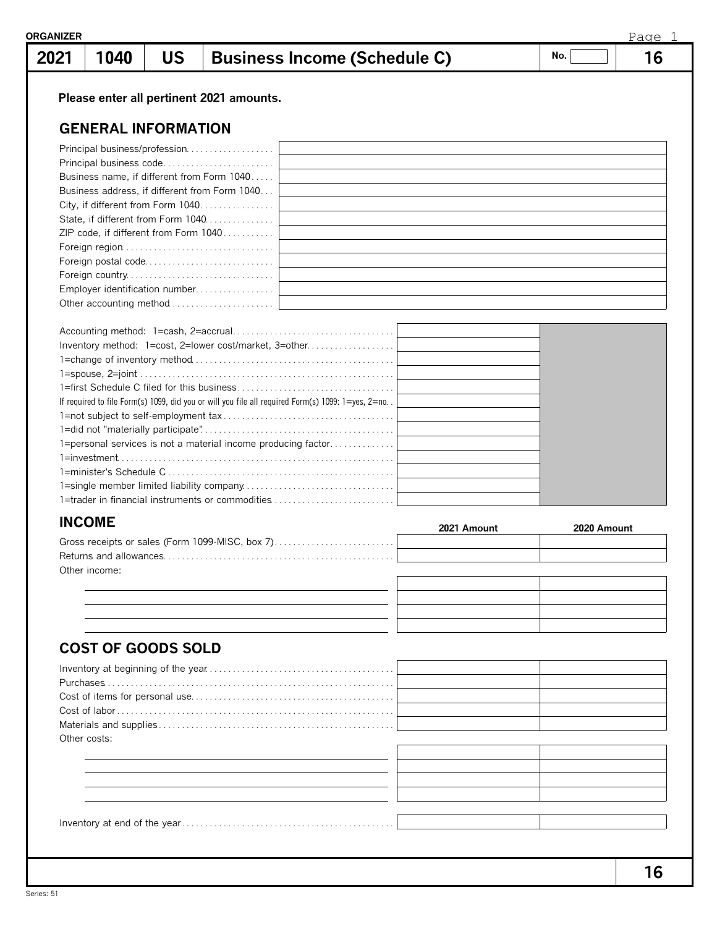| 2021 | 1040                       | <b>US</b> | <b>Business Income (Schedule C)</b>                                                                  |             | No.         | 16 |
|------|----------------------------|-----------|------------------------------------------------------------------------------------------------------|-------------|-------------|----|
|      |                            |           | Please enter all pertinent 2021 amounts.                                                             |             |             |    |
|      |                            |           |                                                                                                      |             |             |    |
|      | <b>GENERAL INFORMATION</b> |           |                                                                                                      |             |             |    |
|      |                            |           | Principal business/profession                                                                        |             |             |    |
|      |                            |           | Principal business code                                                                              |             |             |    |
|      |                            |           | Business name, if different from Form 1040                                                           |             |             |    |
|      |                            |           | Business address, if different from Form 1040<br>City, if different from Form 1040                   |             |             |    |
|      |                            |           | State, if different from Form 1040                                                                   |             |             |    |
|      |                            |           | ZIP code, if different from Form 1040                                                                |             |             |    |
|      |                            |           |                                                                                                      |             |             |    |
|      |                            |           |                                                                                                      |             |             |    |
|      |                            |           |                                                                                                      |             |             |    |
|      |                            |           |                                                                                                      |             |             |    |
|      |                            |           |                                                                                                      |             |             |    |
|      |                            |           |                                                                                                      |             |             |    |
|      |                            |           | Inventory method: 1=cost, 2=lower cost/market, 3=other                                               |             |             |    |
|      |                            |           |                                                                                                      |             |             |    |
|      |                            |           |                                                                                                      |             |             |    |
|      |                            |           |                                                                                                      |             |             |    |
|      |                            |           | If required to file Form(s) 1099, did you or will you file all required Form(s) 1099: 1=yes, 2=no. . |             |             |    |
|      |                            |           |                                                                                                      |             |             |    |
|      |                            |           |                                                                                                      |             |             |    |
|      |                            |           |                                                                                                      |             |             |    |
|      |                            |           | 1=personal services is not a material income producing factor                                        |             |             |    |
|      |                            |           |                                                                                                      |             |             |    |
|      |                            |           |                                                                                                      |             |             |    |
|      |                            |           | 1=trader in financial instruments or commodities                                                     |             |             |    |
|      | <b>INCOME</b>              |           |                                                                                                      | 2021 Amount |             |    |
|      |                            |           | Gross receipts or sales (Form 1099-MISC, box 7)                                                      |             | 2020 Amount |    |
|      |                            |           |                                                                                                      |             |             |    |
|      | Other income:              |           |                                                                                                      |             |             |    |
|      |                            |           |                                                                                                      |             |             |    |
|      |                            |           |                                                                                                      |             |             |    |
|      |                            |           |                                                                                                      |             |             |    |
|      | <b>COST OF GOODS SOLD</b>  |           |                                                                                                      |             |             |    |
|      |                            |           |                                                                                                      |             |             |    |
|      |                            |           |                                                                                                      |             |             |    |
|      |                            |           |                                                                                                      |             |             |    |
|      |                            |           |                                                                                                      |             |             |    |
|      |                            |           |                                                                                                      |             |             |    |
|      | Other costs:               |           |                                                                                                      |             |             |    |
|      |                            |           |                                                                                                      |             |             |    |
|      |                            |           |                                                                                                      |             |             |    |
|      |                            |           |                                                                                                      |             |             |    |
|      |                            |           |                                                                                                      |             |             |    |